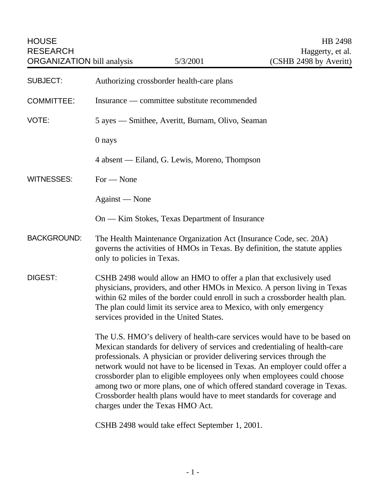| <b>SUBJECT:</b>    | Authorizing crossborder health-care plans                                                                                                                                                                                                                                                                                                                                                                                                                                                                                                                                             |
|--------------------|---------------------------------------------------------------------------------------------------------------------------------------------------------------------------------------------------------------------------------------------------------------------------------------------------------------------------------------------------------------------------------------------------------------------------------------------------------------------------------------------------------------------------------------------------------------------------------------|
| <b>COMMITTEE:</b>  | Insurance — committee substitute recommended                                                                                                                                                                                                                                                                                                                                                                                                                                                                                                                                          |
| VOTE:              | 5 ayes — Smithee, Averitt, Burnam, Olivo, Seaman                                                                                                                                                                                                                                                                                                                                                                                                                                                                                                                                      |
|                    | 0 nays                                                                                                                                                                                                                                                                                                                                                                                                                                                                                                                                                                                |
|                    | 4 absent — Eiland, G. Lewis, Moreno, Thompson                                                                                                                                                                                                                                                                                                                                                                                                                                                                                                                                         |
| <b>WITNESSES:</b>  | $For - None$                                                                                                                                                                                                                                                                                                                                                                                                                                                                                                                                                                          |
|                    | Against — None                                                                                                                                                                                                                                                                                                                                                                                                                                                                                                                                                                        |
|                    | On — Kim Stokes, Texas Department of Insurance                                                                                                                                                                                                                                                                                                                                                                                                                                                                                                                                        |
| <b>BACKGROUND:</b> | The Health Maintenance Organization Act (Insurance Code, sec. 20A)<br>governs the activities of HMOs in Texas. By definition, the statute applies<br>only to policies in Texas.                                                                                                                                                                                                                                                                                                                                                                                                       |
| <b>DIGEST:</b>     | CSHB 2498 would allow an HMO to offer a plan that exclusively used<br>physicians, providers, and other HMOs in Mexico. A person living in Texas<br>within 62 miles of the border could enroll in such a crossborder health plan.<br>The plan could limit its service area to Mexico, with only emergency<br>services provided in the United States.                                                                                                                                                                                                                                   |
|                    | The U.S. HMO's delivery of health-care services would have to be based on<br>Mexican standards for delivery of services and credentialing of health-care<br>professionals. A physician or provider delivering services through the<br>network would not have to be licensed in Texas. An employer could offer a<br>crossborder plan to eligible employees only when employees could choose<br>among two or more plans, one of which offered standard coverage in Texas.<br>Crossborder health plans would have to meet standards for coverage and<br>charges under the Texas HMO Act. |
|                    | CSHB 2498 would take effect September 1, 2001.                                                                                                                                                                                                                                                                                                                                                                                                                                                                                                                                        |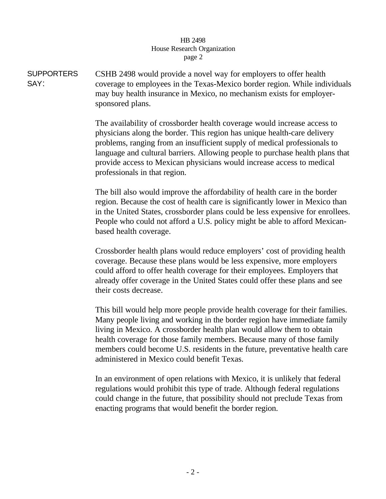## HB 2498 House Research Organization page 2

**SUPPORTERS** SAY: CSHB 2498 would provide a novel way for employers to offer health coverage to employees in the Texas-Mexico border region. While individuals may buy health insurance in Mexico, no mechanism exists for employersponsored plans.

> The availability of crossborder health coverage would increase access to physicians along the border. This region has unique health-care delivery problems, ranging from an insufficient supply of medical professionals to language and cultural barriers. Allowing people to purchase health plans that provide access to Mexican physicians would increase access to medical professionals in that region.

> The bill also would improve the affordability of health care in the border region. Because the cost of health care is significantly lower in Mexico than in the United States, crossborder plans could be less expensive for enrollees. People who could not afford a U.S. policy might be able to afford Mexicanbased health coverage.

Crossborder health plans would reduce employers' cost of providing health coverage. Because these plans would be less expensive, more employers could afford to offer health coverage for their employees. Employers that already offer coverage in the United States could offer these plans and see their costs decrease.

This bill would help more people provide health coverage for their families. Many people living and working in the border region have immediate family living in Mexico. A crossborder health plan would allow them to obtain health coverage for those family members. Because many of those family members could become U.S. residents in the future, preventative health care administered in Mexico could benefit Texas.

In an environment of open relations with Mexico, it is unlikely that federal regulations would prohibit this type of trade. Although federal regulations could change in the future, that possibility should not preclude Texas from enacting programs that would benefit the border region.